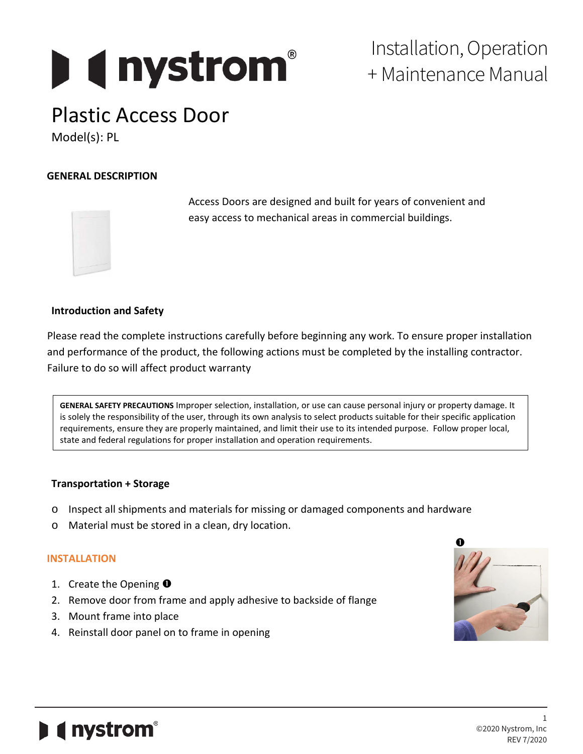# **I** ( nystrom

### Installation, Operation + Maintenance Manual

## Plastic Access Door

Model(s): PL

#### **GENERAL DESCRIPTION**



 Access Doors are designed and built for years of convenient and easy access to mechanical areas in commercial buildings.

#### **Introduction and Safety**

Please read the complete instructions carefully before beginning any work. To ensure proper installation and performance of the product, the following actions must be completed by the installing contractor. Failure to do so will affect product warranty

**GENERAL SAFETY PRECAUTIONS** Improper selection, installation, or use can cause personal injury or property damage. It is solely the responsibility of the user, through its own analysis to select products suitable for their specific application requirements, ensure they are properly maintained, and limit their use to its intended purpose. Follow proper local, state and federal regulations for proper installation and operation requirements.

#### **Transportation + Storage**

- o Inspect all shipments and materials for missing or damaged components and hardware
- o Material must be stored in a clean, dry location.

#### **INSTALLATION**

- 1. Create the Opening  $\bullet$
- 2. Remove door from frame and apply adhesive to backside of flange
- 3. Mount frame into place
- 4. Reinstall door panel on to frame in opening



## *e* nystrom<sup>®</sup>